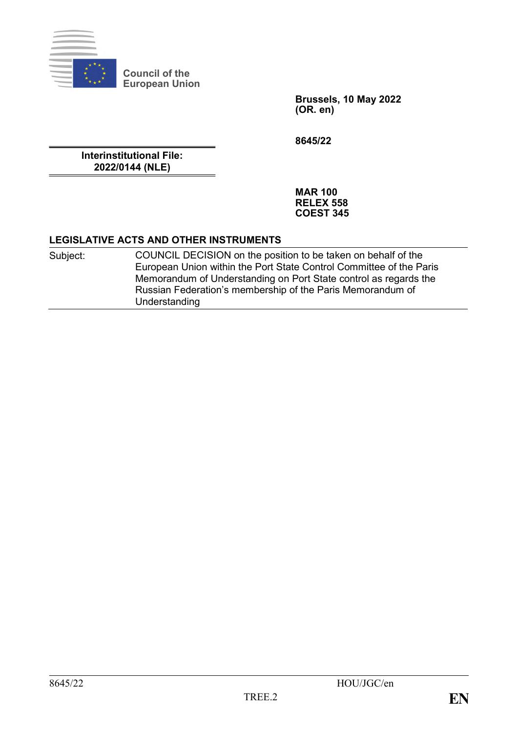

**Council of the European Union**

> **Brussels, 10 May 2022 (OR. en)**

**8645/22**

**Interinstitutional File: 2022/0144 (NLE)**

> **MAR 100 RELEX 558 COEST 345**

## **LEGISLATIVE ACTS AND OTHER INSTRUMENTS**

| Subject: | COUNCIL DECISION on the position to be taken on behalf of the       |
|----------|---------------------------------------------------------------------|
|          | European Union within the Port State Control Committee of the Paris |
|          | Memorandum of Understanding on Port State control as regards the    |
|          | Russian Federation's membership of the Paris Memorandum of          |
|          | Understanding                                                       |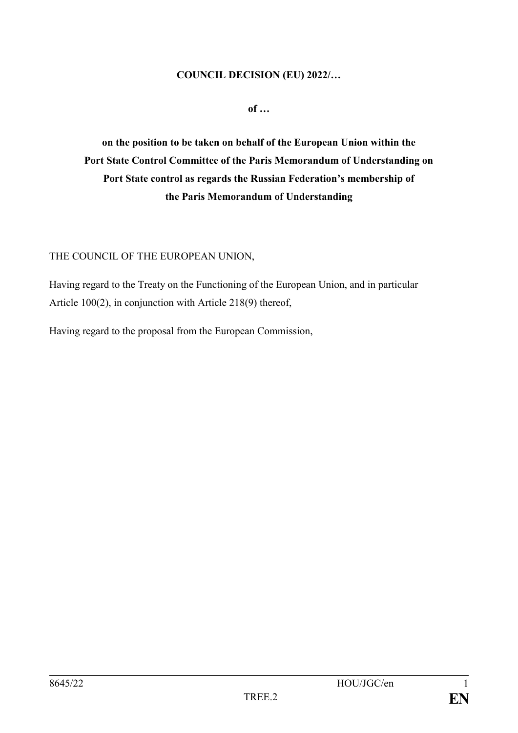### **COUNCIL DECISION (EU) 2022/…**

**of …**

**on the position to be taken on behalf of the European Union within the Port State Control Committee of the Paris Memorandum of Understanding on Port State control as regards the Russian Federation's membership of the Paris Memorandum of Understanding**

## THE COUNCIL OF THE EUROPEAN UNION,

Having regard to the Treaty on the Functioning of the European Union, and in particular Article 100(2), in conjunction with Article 218(9) thereof,

Having regard to the proposal from the European Commission,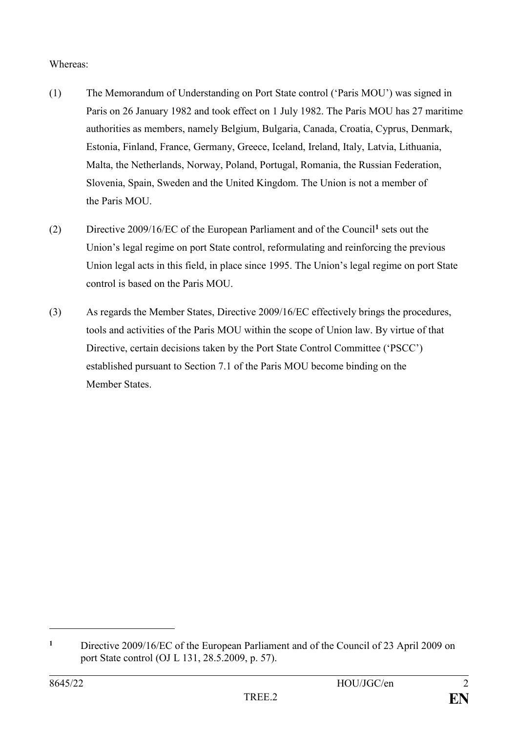# Whereas:

- (1) The Memorandum of Understanding on Port State control ('Paris MOU') was signed in Paris on 26 January 1982 and took effect on 1 July 1982. The Paris MOU has 27 maritime authorities as members, namely Belgium, Bulgaria, Canada, Croatia, Cyprus, Denmark, Estonia, Finland, France, Germany, Greece, Iceland, Ireland, Italy, Latvia, Lithuania, Malta, the Netherlands, Norway, Poland, Portugal, Romania, the Russian Federation, Slovenia, Spain, Sweden and the United Kingdom. The Union is not a member of the Paris MOU.
- (2) Directive 2009/16/EC of the European Parliament and of the Council**<sup>1</sup>** sets out the Union's legal regime on port State control, reformulating and reinforcing the previous Union legal acts in this field, in place since 1995. The Union's legal regime on port State control is based on the Paris MOU.
- (3) As regards the Member States, Directive 2009/16/EC effectively brings the procedures, tools and activities of the Paris MOU within the scope of Union law. By virtue of that Directive, certain decisions taken by the Port State Control Committee ('PSCC') established pursuant to Section 7.1 of the Paris MOU become binding on the Member States.

1

**<sup>1</sup>** Directive 2009/16/EC of the European Parliament and of the Council of 23 April 2009 on port State control (OJ L 131, 28.5.2009, p. 57).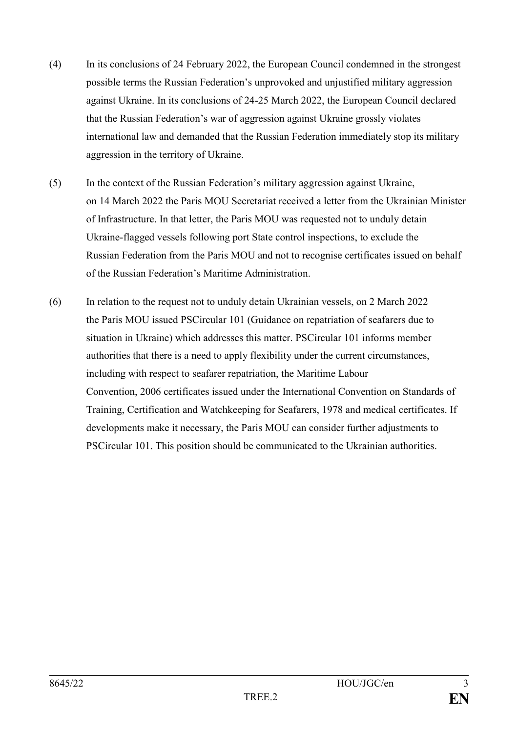- (4) In its conclusions of 24 February 2022, the European Council condemned in the strongest possible terms the Russian Federation's unprovoked and unjustified military aggression against Ukraine. In its conclusions of 24-25 March 2022, the European Council declared that the Russian Federation's war of aggression against Ukraine grossly violates international law and demanded that the Russian Federation immediately stop its military aggression in the territory of Ukraine.
- (5) In the context of the Russian Federation's military aggression against Ukraine, on 14 March 2022 the Paris MOU Secretariat received a letter from the Ukrainian Minister of Infrastructure. In that letter, the Paris MOU was requested not to unduly detain Ukraine-flagged vessels following port State control inspections, to exclude the Russian Federation from the Paris MOU and not to recognise certificates issued on behalf of the Russian Federation's Maritime Administration.
- (6) In relation to the request not to unduly detain Ukrainian vessels, on 2 March 2022 the Paris MOU issued PSCircular 101 (Guidance on repatriation of seafarers due to situation in Ukraine) which addresses this matter. PSCircular 101 informs member authorities that there is a need to apply flexibility under the current circumstances, including with respect to seafarer repatriation, the Maritime Labour Convention, 2006 certificates issued under the International Convention on Standards of Training, Certification and Watchkeeping for Seafarers, 1978 and medical certificates. If developments make it necessary, the Paris MOU can consider further adjustments to PSCircular 101. This position should be communicated to the Ukrainian authorities.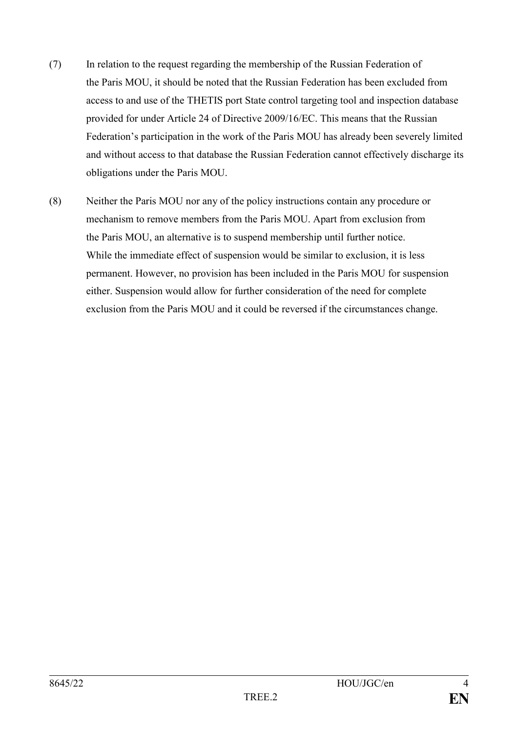- (7) In relation to the request regarding the membership of the Russian Federation of the Paris MOU, it should be noted that the Russian Federation has been excluded from access to and use of the THETIS port State control targeting tool and inspection database provided for under Article 24 of Directive 2009/16/EC. This means that the Russian Federation's participation in the work of the Paris MOU has already been severely limited and without access to that database the Russian Federation cannot effectively discharge its obligations under the Paris MOU.
- (8) Neither the Paris MOU nor any of the policy instructions contain any procedure or mechanism to remove members from the Paris MOU. Apart from exclusion from the Paris MOU, an alternative is to suspend membership until further notice. While the immediate effect of suspension would be similar to exclusion, it is less permanent. However, no provision has been included in the Paris MOU for suspension either. Suspension would allow for further consideration of the need for complete exclusion from the Paris MOU and it could be reversed if the circumstances change.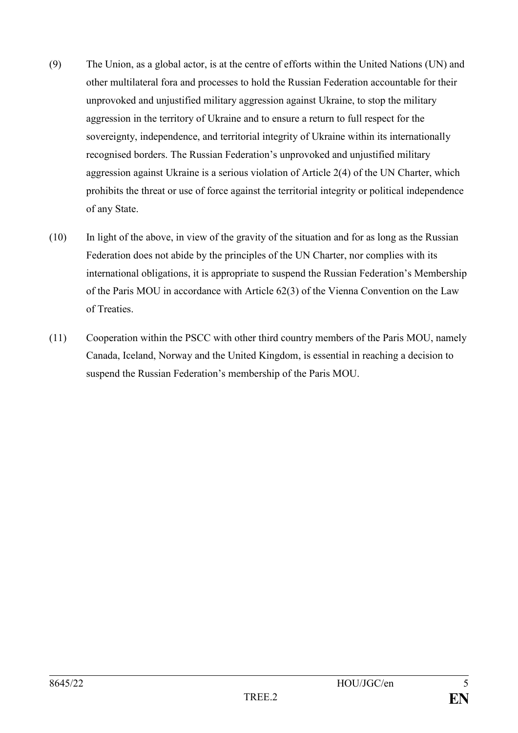- (9) The Union, as a global actor, is at the centre of efforts within the United Nations (UN) and other multilateral fora and processes to hold the Russian Federation accountable for their unprovoked and unjustified military aggression against Ukraine, to stop the military aggression in the territory of Ukraine and to ensure a return to full respect for the sovereignty, independence, and territorial integrity of Ukraine within its internationally recognised borders. The Russian Federation's unprovoked and unjustified military aggression against Ukraine is a serious violation of Article 2(4) of the UN Charter, which prohibits the threat or use of force against the territorial integrity or political independence of any State.
- (10) In light of the above, in view of the gravity of the situation and for as long as the Russian Federation does not abide by the principles of the UN Charter, nor complies with its international obligations, it is appropriate to suspend the Russian Federation's Membership of the Paris MOU in accordance with Article 62(3) of the Vienna Convention on the Law of Treaties.
- (11) Cooperation within the PSCC with other third country members of the Paris MOU, namely Canada, Iceland, Norway and the United Kingdom, is essential in reaching a decision to suspend the Russian Federation's membership of the Paris MOU.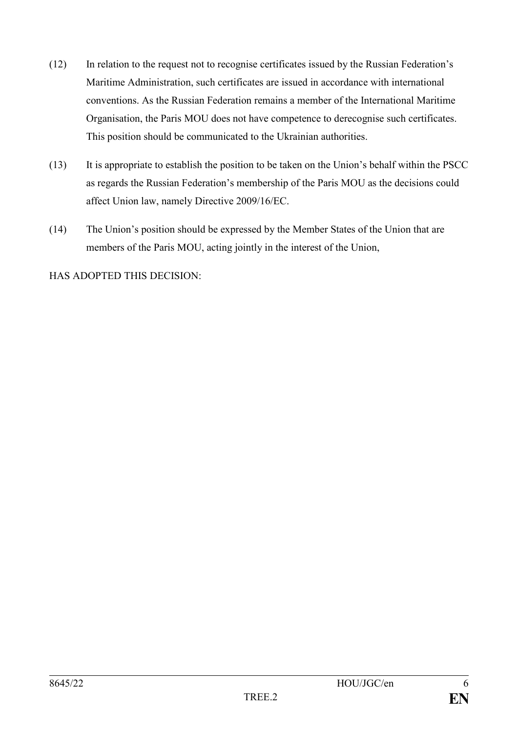- (12) In relation to the request not to recognise certificates issued by the Russian Federation's Maritime Administration, such certificates are issued in accordance with international conventions. As the Russian Federation remains a member of the International Maritime Organisation, the Paris MOU does not have competence to derecognise such certificates. This position should be communicated to the Ukrainian authorities.
- (13) It is appropriate to establish the position to be taken on the Union's behalf within the PSCC as regards the Russian Federation's membership of the Paris MOU as the decisions could affect Union law, namely Directive 2009/16/EC.
- (14) The Union's position should be expressed by the Member States of the Union that are members of the Paris MOU, acting jointly in the interest of the Union,

HAS ADOPTED THIS DECISION: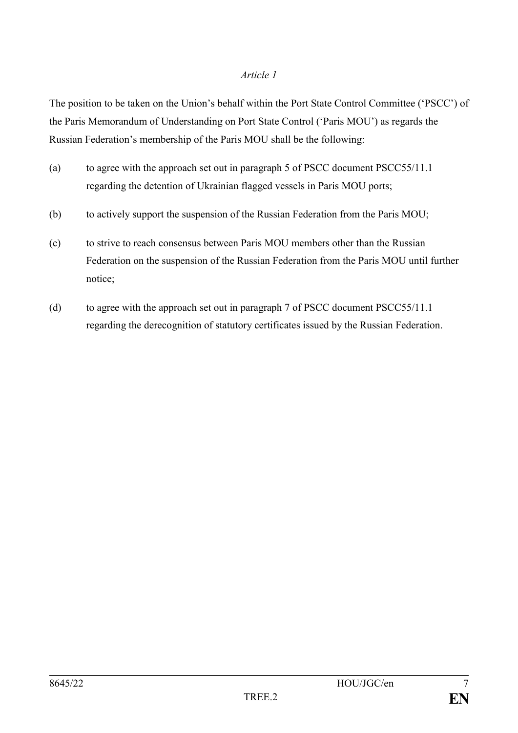### *Article 1*

The position to be taken on the Union's behalf within the Port State Control Committee ('PSCC') of the Paris Memorandum of Understanding on Port State Control ('Paris MOU') as regards the Russian Federation's membership of the Paris MOU shall be the following:

- (a) to agree with the approach set out in paragraph 5 of PSCC document PSCC55/11.1 regarding the detention of Ukrainian flagged vessels in Paris MOU ports;
- (b) to actively support the suspension of the Russian Federation from the Paris MOU;
- (c) to strive to reach consensus between Paris MOU members other than the Russian Federation on the suspension of the Russian Federation from the Paris MOU until further notice;
- (d) to agree with the approach set out in paragraph 7 of PSCC document PSCC55/11.1 regarding the derecognition of statutory certificates issued by the Russian Federation.